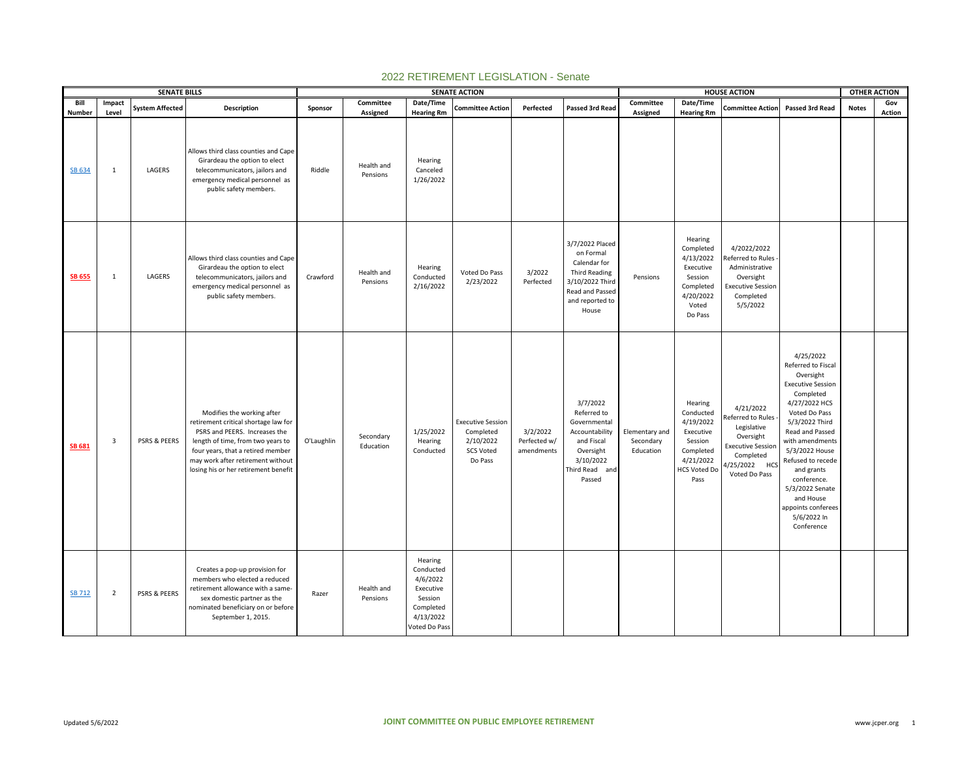|                  |                       | <b>SENATE BILLS</b>     |                                                                                                                                                                                                                                                            |            |                                    |                                                                                                     | <b>SENATE ACTION</b>                                                              |                                        |                                                                                                                                        |                                          |                                                                                                                    | <b>HOUSE ACTION</b>                                                                                                                   |                                                                                                                                                                                                                                                                                                                                        | <b>OTHER ACTION</b> |        |
|------------------|-----------------------|-------------------------|------------------------------------------------------------------------------------------------------------------------------------------------------------------------------------------------------------------------------------------------------------|------------|------------------------------------|-----------------------------------------------------------------------------------------------------|-----------------------------------------------------------------------------------|----------------------------------------|----------------------------------------------------------------------------------------------------------------------------------------|------------------------------------------|--------------------------------------------------------------------------------------------------------------------|---------------------------------------------------------------------------------------------------------------------------------------|----------------------------------------------------------------------------------------------------------------------------------------------------------------------------------------------------------------------------------------------------------------------------------------------------------------------------------------|---------------------|--------|
| Bill             | Impact                | <b>System Affected</b>  | Description                                                                                                                                                                                                                                                | Sponsor    | Committee                          | Date/Time                                                                                           | <b>Committee Action</b>                                                           | Perfected                              | Passed 3rd Read                                                                                                                        | Committee                                | Date/Time                                                                                                          | <b>Committee Action</b>                                                                                                               | Passed 3rd Read                                                                                                                                                                                                                                                                                                                        | <b>Notes</b>        | Gov    |
| Number<br>SB 634 | Level<br>$\mathbf{1}$ | LAGERS                  | Allows third class counties and Cape<br>Girardeau the option to elect<br>telecommunicators, jailors and<br>emergency medical personnel as<br>public safety members.                                                                                        | Riddle     | Assigned<br>Health and<br>Pensions | <b>Hearing Rm</b><br>Hearing<br>Canceled<br>1/26/2022                                               |                                                                                   |                                        |                                                                                                                                        | Assigned                                 | <b>Hearing Rm</b>                                                                                                  |                                                                                                                                       |                                                                                                                                                                                                                                                                                                                                        |                     | Action |
| <b>SB 655</b>    | $\mathbf{1}$          | LAGERS                  | Allows third class counties and Cape<br>Girardeau the option to elect<br>telecommunicators, jailors and<br>emergency medical personnel as<br>public safety members.                                                                                        | Crawford   | Health and<br>Pensions             | Hearing<br>Conducted<br>2/16/2022                                                                   | Voted Do Pass<br>2/23/2022                                                        | 3/2022<br>Perfected                    | 3/7/2022 Placed<br>on Formal<br>Calendar for<br><b>Third Reading</b><br>3/10/2022 Third<br>Read and Passed<br>and reported to<br>House | Pensions                                 | Hearing<br>Completed<br>4/13/2022<br>Executive<br>Session<br>Completed<br>4/20/2022<br>Voted<br>Do Pass            | 4/2022/2022<br>Referred to Rules<br>Administrative<br>Oversight<br><b>Executive Session</b><br>Completed<br>5/5/2022                  |                                                                                                                                                                                                                                                                                                                                        |                     |        |
| <b>SB 681</b>    | 3                     | PSRS & PEERS            | Modifies the working after<br>retirement critical shortage law for<br>PSRS and PEERS. Increases the<br>length of time, from two years to<br>four years, that a retired member<br>may work after retirement without<br>losing his or her retirement benefit | O'Laughlin | Secondary<br>Education             | 1/25/2022<br>Hearing<br>Conducted                                                                   | <b>Executive Session</b><br>Completed<br>2/10/2022<br><b>SCS Voted</b><br>Do Pass | 3/2/2022<br>Perfected w/<br>amendments | 3/7/2022<br>Referred to<br>Governmental<br>Accountability<br>and Fiscal<br>Oversight<br>3/10/2022<br>Third Read and<br>Passed          | Elementary and<br>Secondary<br>Education | Hearing<br>Conducted<br>4/19/2022<br>Executive<br>Session<br>Completed<br>4/21/2022<br><b>HCS Voted Do</b><br>Pass | 4/21/2022<br>Referred to Rules<br>Legislative<br>Oversight<br><b>Executive Session</b><br>Completed<br>1/25/2022 HCS<br>Voted Do Pass | 4/25/2022<br>Referred to Fiscal<br>Oversight<br><b>Executive Session</b><br>Completed<br>4/27/2022 HCS<br>Voted Do Pass<br>5/3/2022 Third<br>Read and Passed<br>with amendments<br>5/3/2022 House<br>Refused to recede<br>and grants<br>conference.<br>5/3/2022 Senate<br>and House<br>appoints conferees<br>5/6/2022 In<br>Conference |                     |        |
| <b>SB 712</b>    | $\overline{2}$        | <b>PSRS &amp; PEERS</b> | Creates a pop-up provision for<br>members who elected a reduced<br>retirement allowance with a same-<br>sex domestic partner as the<br>nominated beneficiary on or before<br>September 1, 2015.                                                            | Razer      | Health and<br>Pensions             | Hearing<br>Conducted<br>4/6/2022<br>Executive<br>Session<br>Completed<br>4/13/2022<br>Voted Do Pass |                                                                                   |                                        |                                                                                                                                        |                                          |                                                                                                                    |                                                                                                                                       |                                                                                                                                                                                                                                                                                                                                        |                     |        |

## 2022 RETIREMENT LEGISLATION - Senate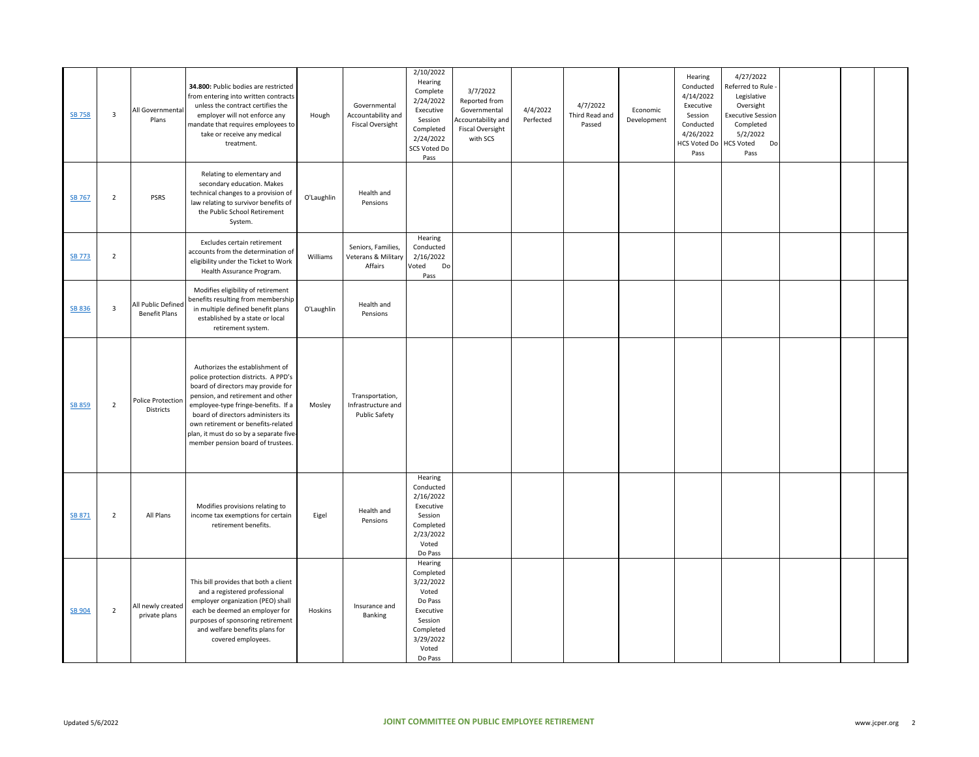| <b>SB 758</b> | $\overline{3}$ | All Governmental<br>Plans                  | 34.800: Public bodies are restricted<br>from entering into written contracts<br>unless the contract certifies the<br>employer will not enforce any<br>mandate that requires employees to<br>take or receive any medical<br>treatment.                                                                                                                | Hough      | Governmental<br>Accountability and<br><b>Fiscal Oversight</b> | 2/10/2022<br>Hearing<br>Complete<br>2/24/2022<br>Executive<br>Session<br>Completed<br>2/24/2022<br>SCS Voted Do<br>Pass     | 3/7/2022<br>Reported from<br>Governmental<br>Accountability and<br><b>Fiscal Oversight</b><br>with SCS | 4/4/2022<br>Perfected | 4/7/2022<br>Third Read and<br>Passed | Economic<br>Development | Hearing<br>Conducted<br>4/14/2022<br>Executive<br>Session<br>Conducted<br>4/26/2022<br><b>HCS Voted Do</b><br>Pass | 4/27/2022<br>Referred to Rule<br>Legislative<br>Oversight<br><b>Executive Session</b><br>Completed<br>5/2/2022<br><b>HCS Voted</b><br>Do<br>Pass |  |  |
|---------------|----------------|--------------------------------------------|------------------------------------------------------------------------------------------------------------------------------------------------------------------------------------------------------------------------------------------------------------------------------------------------------------------------------------------------------|------------|---------------------------------------------------------------|-----------------------------------------------------------------------------------------------------------------------------|--------------------------------------------------------------------------------------------------------|-----------------------|--------------------------------------|-------------------------|--------------------------------------------------------------------------------------------------------------------|--------------------------------------------------------------------------------------------------------------------------------------------------|--|--|
| <b>SB 767</b> | $\overline{2}$ | <b>PSRS</b>                                | Relating to elementary and<br>secondary education. Makes<br>technical changes to a provision of<br>law relating to survivor benefits of<br>the Public School Retirement<br>System.                                                                                                                                                                   | O'Laughlin | Health and<br>Pensions                                        |                                                                                                                             |                                                                                                        |                       |                                      |                         |                                                                                                                    |                                                                                                                                                  |  |  |
| <b>SB 773</b> | $\overline{2}$ |                                            | Excludes certain retirement<br>accounts from the determination of<br>eligibility under the Ticket to Work<br>Health Assurance Program.                                                                                                                                                                                                               | Williams   | Seniors, Families,<br>Veterans & Military<br>Affairs          | Hearing<br>Conducted<br>2/16/2022<br>Voted<br>Do<br>Pass                                                                    |                                                                                                        |                       |                                      |                         |                                                                                                                    |                                                                                                                                                  |  |  |
| <b>SB 836</b> | $\overline{3}$ | All Public Defined<br><b>Benefit Plans</b> | Modifies eligibility of retirement<br>benefits resulting from membership<br>in multiple defined benefit plans<br>established by a state or local<br>retirement system.                                                                                                                                                                               | O'Laughlin | Health and<br>Pensions                                        |                                                                                                                             |                                                                                                        |                       |                                      |                         |                                                                                                                    |                                                                                                                                                  |  |  |
| <b>SB 859</b> | $\overline{2}$ | <b>Police Protection</b><br>Districts      | Authorizes the establishment of<br>police protection districts. A PPD's<br>board of directors may provide for<br>pension, and retirement and other<br>employee-type fringe-benefits. If a<br>board of directors administers its<br>own retirement or benefits-related<br>plan, it must do so by a separate five<br>member pension board of trustees. | Mosley     | Transportation,<br>Infrastructure and<br><b>Public Safety</b> |                                                                                                                             |                                                                                                        |                       |                                      |                         |                                                                                                                    |                                                                                                                                                  |  |  |
| SB 871        | $\overline{2}$ | All Plans                                  | Modifies provisions relating to<br>income tax exemptions for certain<br>retirement benefits.                                                                                                                                                                                                                                                         | Eigel      | Health and<br>Pensions                                        | Hearing<br>Conducted<br>2/16/2022<br>Executive<br>Session<br>Completed<br>2/23/2022<br>Voted<br>Do Pass                     |                                                                                                        |                       |                                      |                         |                                                                                                                    |                                                                                                                                                  |  |  |
| SB 904        | $\overline{2}$ | All newly created<br>private plans         | This bill provides that both a client<br>and a registered professional<br>employer organization (PEO) shall<br>each be deemed an employer for<br>purposes of sponsoring retirement<br>and welfare benefits plans for<br>covered employees.                                                                                                           | Hoskins    | Insurance and<br>Banking                                      | Hearing<br>Completed<br>3/22/2022<br>Voted<br>Do Pass<br>Executive<br>Session<br>Completed<br>3/29/2022<br>Voted<br>Do Pass |                                                                                                        |                       |                                      |                         |                                                                                                                    |                                                                                                                                                  |  |  |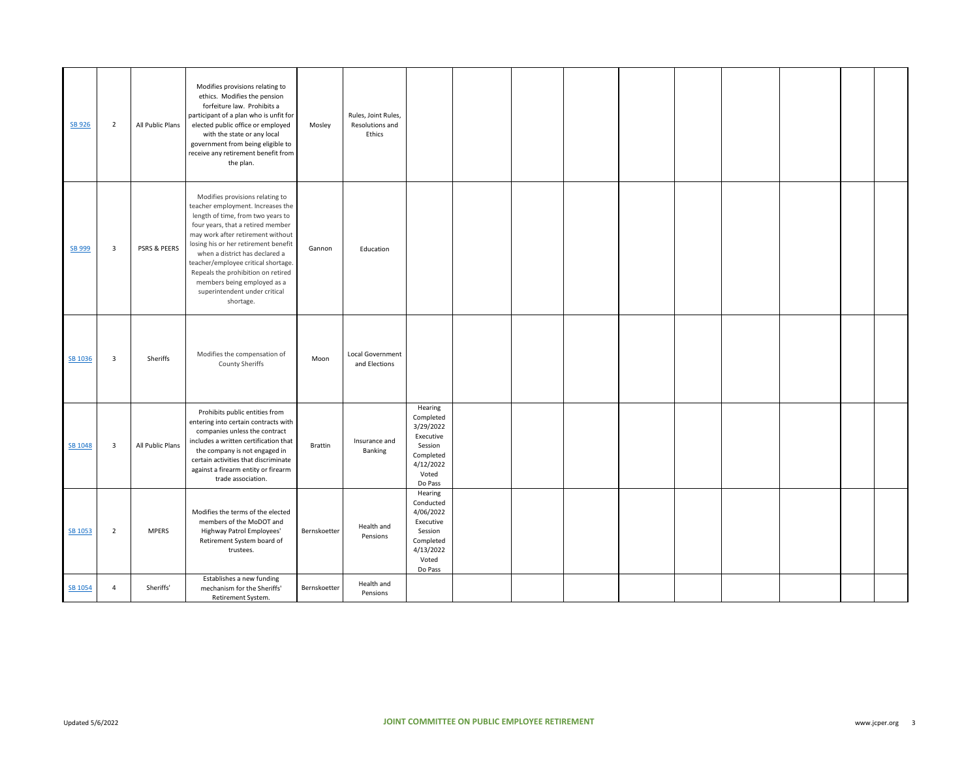| SB 926  | $\overline{2}$          | All Public Plans | Modifies provisions relating to<br>ethics. Modifies the pension<br>forfeiture law. Prohibits a<br>participant of a plan who is unfit for<br>elected public office or employed<br>with the state or any local<br>government from being eligible to<br>receive any retirement benefit from<br>the plan.                                                                                                                   | Mosley         | Rules, Joint Rules,<br>Resolutions and<br>Ethics |                                                                                                         |  |  |  |  |  |
|---------|-------------------------|------------------|-------------------------------------------------------------------------------------------------------------------------------------------------------------------------------------------------------------------------------------------------------------------------------------------------------------------------------------------------------------------------------------------------------------------------|----------------|--------------------------------------------------|---------------------------------------------------------------------------------------------------------|--|--|--|--|--|
| SB 999  | $\overline{\mathbf{3}}$ | PSRS & PEERS     | Modifies provisions relating to<br>teacher employment. Increases the<br>length of time, from two years to<br>four years, that a retired member<br>may work after retirement without<br>losing his or her retirement benefit<br>when a district has declared a<br>teacher/employee critical shortage.<br>Repeals the prohibition on retired<br>members being employed as a<br>superintendent under critical<br>shortage. | Gannon         | Education                                        |                                                                                                         |  |  |  |  |  |
| SB 1036 | 3                       | Sheriffs         | Modifies the compensation of<br>County Sheriffs                                                                                                                                                                                                                                                                                                                                                                         | Moon           | <b>Local Government</b><br>and Elections         |                                                                                                         |  |  |  |  |  |
| SB 1048 | $\overline{\mathbf{3}}$ | All Public Plans | Prohibits public entities from<br>entering into certain contracts with<br>companies unless the contract<br>includes a written certification that<br>the company is not engaged in<br>certain activities that discriminate<br>against a firearm entity or firearm<br>trade association.                                                                                                                                  | <b>Brattin</b> | Insurance and<br>Banking                         | Hearing<br>Completed<br>3/29/2022<br>Executive<br>Session<br>Completed<br>4/12/2022<br>Voted<br>Do Pass |  |  |  |  |  |
| SB 1053 | $\overline{2}$          | <b>MPERS</b>     | Modifies the terms of the elected<br>members of the MoDOT and<br>Highway Patrol Employees'<br>Retirement System board of<br>trustees.                                                                                                                                                                                                                                                                                   | Bernskoetter   | Health and<br>Pensions                           | Hearing<br>Conducted<br>4/06/2022<br>Executive<br>Session<br>Completed<br>4/13/2022<br>Voted<br>Do Pass |  |  |  |  |  |
| SB 1054 | $\overline{4}$          | Sheriffs'        | Establishes a new funding<br>mechanism for the Sheriffs'<br>Retirement System.                                                                                                                                                                                                                                                                                                                                          | Bernskoetter   | Health and<br>Pensions                           |                                                                                                         |  |  |  |  |  |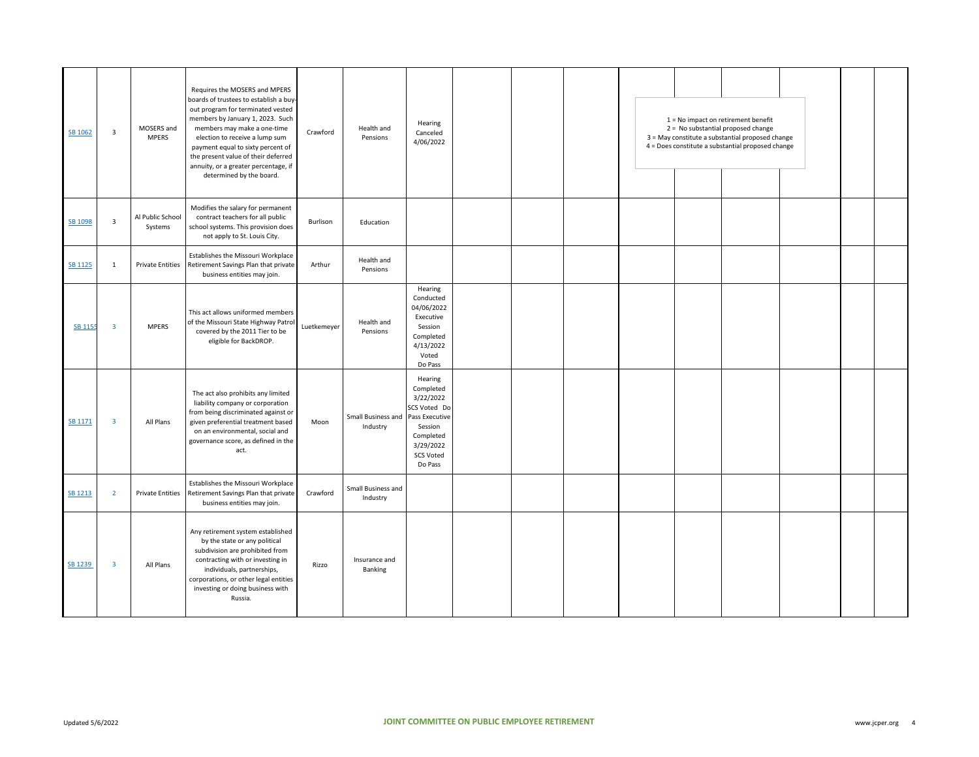| SB 1062        | 3                       | MOSERS and<br><b>MPERS</b>  | Requires the MOSERS and MPERS<br>boards of trustees to establish a buy-<br>out program for terminated vested<br>members by January 1, 2023. Such<br>members may make a one-time<br>election to receive a lump sum<br>payment equal to sixty percent of<br>the present value of their deferred<br>annuity, or a greater percentage, if<br>determined by the board. | Crawford    | Health and<br>Pensions         | Hearing<br>Canceled<br>4/06/2022                                                                                                        |  |  | 1 = No impact on retirement benefit<br>2 = No substantial proposed change<br>3 = May constitute a substantial proposed change<br>4 = Does constitute a substantial proposed change |  |  |
|----------------|-------------------------|-----------------------------|-------------------------------------------------------------------------------------------------------------------------------------------------------------------------------------------------------------------------------------------------------------------------------------------------------------------------------------------------------------------|-------------|--------------------------------|-----------------------------------------------------------------------------------------------------------------------------------------|--|--|------------------------------------------------------------------------------------------------------------------------------------------------------------------------------------|--|--|
| SB 1098        | $\overline{\mathbf{3}}$ | Al Public School<br>Systems | Modifies the salary for permanent<br>contract teachers for all public<br>school systems. This provision does<br>not apply to St. Louis City.                                                                                                                                                                                                                      | Burlison    | Education                      |                                                                                                                                         |  |  |                                                                                                                                                                                    |  |  |
| <b>SB 1125</b> | $\mathbf{1}$            |                             | Establishes the Missouri Workplace<br>Private Entities Retirement Savings Plan that private<br>business entities may join.                                                                                                                                                                                                                                        | Arthur      | Health and<br>Pensions         |                                                                                                                                         |  |  |                                                                                                                                                                                    |  |  |
| <b>SB 1155</b> | $\overline{\mathbf{3}}$ | <b>MPERS</b>                | This act allows uniformed members<br>of the Missouri State Highway Patrol<br>covered by the 2011 Tier to be<br>eligible for BackDROP.                                                                                                                                                                                                                             | Luetkemeyer | Health and<br>Pensions         | Hearing<br>Conducted<br>04/06/2022<br>Executive<br>Session<br>Completed<br>4/13/2022<br>Voted<br>Do Pass                                |  |  |                                                                                                                                                                                    |  |  |
| SB 1171        | $\overline{\mathbf{3}}$ | All Plans                   | The act also prohibits any limited<br>liability company or corporation<br>from being discriminated against or<br>given preferential treatment based<br>on an environmental, social and<br>governance score, as defined in the<br>act.                                                                                                                             | Moon        | Small Business and<br>Industry | Hearing<br>Completed<br>3/22/2022<br>SCS Voted Do<br>Pass Executive<br>Session<br>Completed<br>3/29/2022<br><b>SCS Voted</b><br>Do Pass |  |  |                                                                                                                                                                                    |  |  |
| <b>SB 1213</b> | $\overline{2}$          | <b>Private Entities</b>     | Establishes the Missouri Workplace<br>Retirement Savings Plan that private<br>business entities may join.                                                                                                                                                                                                                                                         | Crawford    | Small Business and<br>Industry |                                                                                                                                         |  |  |                                                                                                                                                                                    |  |  |
| SB 1239        | $\overline{\mathbf{3}}$ | All Plans                   | Any retirement system established<br>by the state or any political<br>subdivision are prohibited from<br>contracting with or investing in<br>individuals, partnerships,<br>corporations, or other legal entities<br>investing or doing business with<br>Russia.                                                                                                   | Rizzo       | Insurance and<br>Banking       |                                                                                                                                         |  |  |                                                                                                                                                                                    |  |  |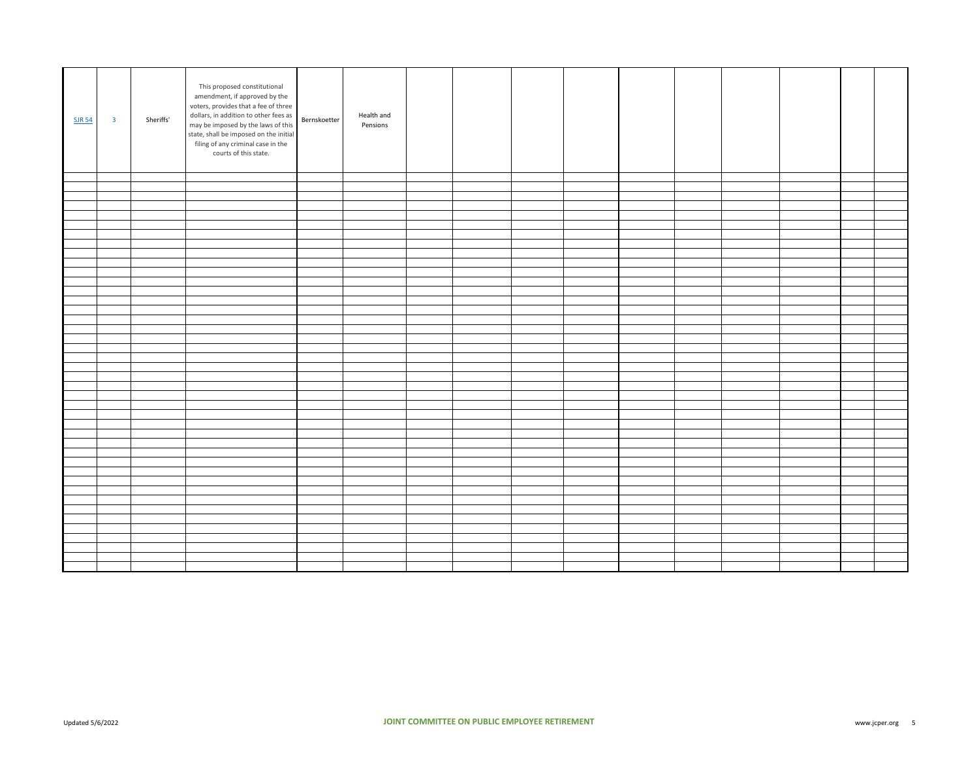| <b>SJR 54</b> | $\overline{\mathbf{3}}$ | Sheriffs' | This proposed constitutional<br>amendment, if approved by the<br>voters, provides that a fee of three<br>dollars, in addition to other fees as<br>may be imposed by the laws of this<br>state, shall be imposed on the initial<br>filing of any criminal case in the<br>courts of this state. | Bernskoetter | Health and<br>Pensions |  |  |  |  |  |
|---------------|-------------------------|-----------|-----------------------------------------------------------------------------------------------------------------------------------------------------------------------------------------------------------------------------------------------------------------------------------------------|--------------|------------------------|--|--|--|--|--|
|               |                         |           |                                                                                                                                                                                                                                                                                               |              |                        |  |  |  |  |  |
|               |                         |           |                                                                                                                                                                                                                                                                                               |              |                        |  |  |  |  |  |
|               |                         |           |                                                                                                                                                                                                                                                                                               |              |                        |  |  |  |  |  |
|               |                         |           |                                                                                                                                                                                                                                                                                               |              |                        |  |  |  |  |  |
|               |                         |           |                                                                                                                                                                                                                                                                                               |              |                        |  |  |  |  |  |
|               |                         |           |                                                                                                                                                                                                                                                                                               |              |                        |  |  |  |  |  |
|               |                         |           |                                                                                                                                                                                                                                                                                               |              |                        |  |  |  |  |  |
|               |                         |           |                                                                                                                                                                                                                                                                                               |              |                        |  |  |  |  |  |
|               |                         |           |                                                                                                                                                                                                                                                                                               |              |                        |  |  |  |  |  |
|               |                         |           |                                                                                                                                                                                                                                                                                               |              |                        |  |  |  |  |  |
|               |                         |           |                                                                                                                                                                                                                                                                                               |              |                        |  |  |  |  |  |
|               |                         |           |                                                                                                                                                                                                                                                                                               |              |                        |  |  |  |  |  |
|               |                         |           |                                                                                                                                                                                                                                                                                               |              |                        |  |  |  |  |  |
|               |                         |           |                                                                                                                                                                                                                                                                                               |              |                        |  |  |  |  |  |
|               |                         |           |                                                                                                                                                                                                                                                                                               |              |                        |  |  |  |  |  |
|               |                         |           |                                                                                                                                                                                                                                                                                               |              |                        |  |  |  |  |  |
|               |                         |           |                                                                                                                                                                                                                                                                                               |              |                        |  |  |  |  |  |
|               |                         |           |                                                                                                                                                                                                                                                                                               |              |                        |  |  |  |  |  |
|               |                         |           |                                                                                                                                                                                                                                                                                               |              |                        |  |  |  |  |  |
|               |                         |           |                                                                                                                                                                                                                                                                                               |              |                        |  |  |  |  |  |
|               |                         |           |                                                                                                                                                                                                                                                                                               |              |                        |  |  |  |  |  |
|               |                         |           |                                                                                                                                                                                                                                                                                               |              |                        |  |  |  |  |  |
|               |                         |           |                                                                                                                                                                                                                                                                                               |              |                        |  |  |  |  |  |
|               |                         |           |                                                                                                                                                                                                                                                                                               |              |                        |  |  |  |  |  |
|               |                         |           |                                                                                                                                                                                                                                                                                               |              |                        |  |  |  |  |  |
|               |                         |           |                                                                                                                                                                                                                                                                                               |              |                        |  |  |  |  |  |
|               |                         |           |                                                                                                                                                                                                                                                                                               |              |                        |  |  |  |  |  |
|               |                         |           |                                                                                                                                                                                                                                                                                               |              |                        |  |  |  |  |  |
|               |                         |           |                                                                                                                                                                                                                                                                                               |              |                        |  |  |  |  |  |
|               |                         |           |                                                                                                                                                                                                                                                                                               |              |                        |  |  |  |  |  |
|               |                         |           |                                                                                                                                                                                                                                                                                               |              |                        |  |  |  |  |  |
|               |                         |           |                                                                                                                                                                                                                                                                                               |              |                        |  |  |  |  |  |
|               |                         |           |                                                                                                                                                                                                                                                                                               |              |                        |  |  |  |  |  |
|               |                         |           |                                                                                                                                                                                                                                                                                               |              |                        |  |  |  |  |  |
|               |                         |           |                                                                                                                                                                                                                                                                                               |              |                        |  |  |  |  |  |
|               |                         |           |                                                                                                                                                                                                                                                                                               |              |                        |  |  |  |  |  |
|               |                         |           |                                                                                                                                                                                                                                                                                               |              |                        |  |  |  |  |  |
|               |                         |           |                                                                                                                                                                                                                                                                                               |              |                        |  |  |  |  |  |
|               |                         |           |                                                                                                                                                                                                                                                                                               |              |                        |  |  |  |  |  |
|               |                         |           |                                                                                                                                                                                                                                                                                               |              |                        |  |  |  |  |  |
|               |                         |           |                                                                                                                                                                                                                                                                                               |              |                        |  |  |  |  |  |
|               |                         |           |                                                                                                                                                                                                                                                                                               |              |                        |  |  |  |  |  |
|               |                         |           |                                                                                                                                                                                                                                                                                               |              |                        |  |  |  |  |  |
|               |                         |           |                                                                                                                                                                                                                                                                                               |              |                        |  |  |  |  |  |
|               |                         |           |                                                                                                                                                                                                                                                                                               |              |                        |  |  |  |  |  |
|               |                         |           |                                                                                                                                                                                                                                                                                               |              |                        |  |  |  |  |  |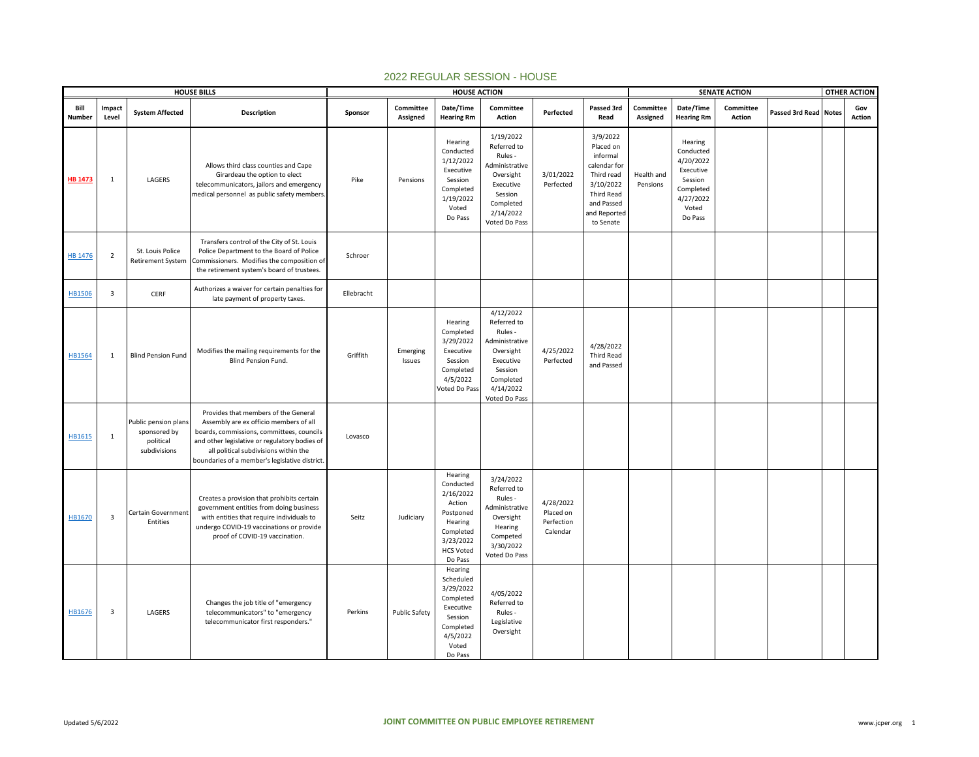|                |                         |                                                                   | <b>HOUSE BILLS</b>                                                                                                                                                                                                                                                      |            |                       | <b>HOUSE ACTION</b>                                                                                                          |                                                                                                                                       |                                                  |                                                                                                                                       |                        |                                                                                                         | <b>SENATE ACTION</b> |                       | <b>OTHER ACTION</b> |
|----------------|-------------------------|-------------------------------------------------------------------|-------------------------------------------------------------------------------------------------------------------------------------------------------------------------------------------------------------------------------------------------------------------------|------------|-----------------------|------------------------------------------------------------------------------------------------------------------------------|---------------------------------------------------------------------------------------------------------------------------------------|--------------------------------------------------|---------------------------------------------------------------------------------------------------------------------------------------|------------------------|---------------------------------------------------------------------------------------------------------|----------------------|-----------------------|---------------------|
| Bill<br>Number | Impact<br>Level         | <b>System Affected</b>                                            | Description                                                                                                                                                                                                                                                             | Sponsor    | Committee<br>Assigned | Date/Time<br><b>Hearing Rm</b>                                                                                               | Committee<br>Action                                                                                                                   | Perfected                                        | Passed 3rd<br>Read                                                                                                                    | Committee<br>Assigned  | Date/Time<br><b>Hearing Rm</b>                                                                          | Committee<br>Action  | Passed 3rd Read Notes | Gov<br>Action       |
| <b>HB 1473</b> | 1                       | LAGERS                                                            | Allows third class counties and Cape<br>Girardeau the option to elect<br>telecommunicators, jailors and emergency<br>medical personnel as public safety members                                                                                                         | Pike       | Pensions              | Hearing<br>Conducted<br>1/12/2022<br>Executive<br>Session<br>Completed<br>1/19/2022<br>Voted<br>Do Pass                      | 1/19/2022<br>Referred to<br>Rules -<br>Administrative<br>Oversight<br>Executive<br>Session<br>Completed<br>2/14/2022<br>Voted Do Pass | 3/01/2022<br>Perfected                           | 3/9/2022<br>Placed on<br>informal<br>calendar for<br>Third read<br>3/10/2022<br>Third Read<br>and Passed<br>and Reported<br>to Senate | Health and<br>Pensions | Hearing<br>Conducted<br>4/20/2022<br>Executive<br>Session<br>Completed<br>4/27/2022<br>Voted<br>Do Pass |                      |                       |                     |
| HB 1476        | $\overline{2}$          | St. Louis Police<br><b>Retirement System</b>                      | Transfers control of the City of St. Louis<br>Police Department to the Board of Police<br>Commissioners. Modifies the composition of<br>the retirement system's board of trustees.                                                                                      | Schroer    |                       |                                                                                                                              |                                                                                                                                       |                                                  |                                                                                                                                       |                        |                                                                                                         |                      |                       |                     |
| <b>HB1506</b>  | $\overline{\mathbf{3}}$ | CERF                                                              | Authorizes a waiver for certain penalties for<br>late payment of property taxes.                                                                                                                                                                                        | Ellebracht |                       |                                                                                                                              |                                                                                                                                       |                                                  |                                                                                                                                       |                        |                                                                                                         |                      |                       |                     |
| HB1564         | 1                       | <b>Blind Pension Fund</b>                                         | Modifies the mailing requirements for the<br>Blind Pension Fund.                                                                                                                                                                                                        | Griffith   | Emerging<br>Issues    | Hearing<br>Completed<br>3/29/2022<br>Executive<br>Session<br>Completed<br>4/5/2022<br>Voted Do Pass                          | 4/12/2022<br>Referred to<br>Rules -<br>Administrative<br>Oversight<br>Executive<br>Session<br>Completed<br>4/14/2022<br>Voted Do Pass | 4/25/2022<br>Perfected                           | 4/28/2022<br><b>Third Read</b><br>and Passed                                                                                          |                        |                                                                                                         |                      |                       |                     |
| HB1615         | $\mathbf{1}$            | Public pension plans<br>sponsored by<br>political<br>subdivisions | Provides that members of the General<br>Assembly are ex officio members of all<br>boards, commissions, committees, councils<br>and other legislative or regulatory bodies of<br>all political subdivisions within the<br>boundaries of a member's legislative district. | Lovasco    |                       |                                                                                                                              |                                                                                                                                       |                                                  |                                                                                                                                       |                        |                                                                                                         |                      |                       |                     |
| HB1670         | $\overline{\mathbf{3}}$ | Certain Government<br>Entities                                    | Creates a provision that prohibits certain<br>government entities from doing business<br>with entities that require individuals to<br>undergo COVID-19 vaccinations or provide<br>proof of COVID-19 vaccination.                                                        | Seitz      | Judiciary             | Hearing<br>Conducted<br>2/16/2022<br>Action<br>Postponed<br>Hearing<br>Completed<br>3/23/2022<br><b>HCS Voted</b><br>Do Pass | 3/24/2022<br>Referred to<br>Rules -<br>Administrative<br>Oversight<br>Hearing<br>Competed<br>3/30/2022<br>Voted Do Pass               | 4/28/2022<br>Placed on<br>Perfection<br>Calendar |                                                                                                                                       |                        |                                                                                                         |                      |                       |                     |
| HB1676         | $\overline{\mathbf{3}}$ | LAGERS                                                            | Changes the job title of "emergency<br>telecommunicators" to "emergency<br>telecommunicator first responders."                                                                                                                                                          | Perkins    | <b>Public Safety</b>  | Hearing<br>Scheduled<br>3/29/2022<br>Completed<br>Executive<br>Session<br>Completed<br>4/5/2022<br>Voted<br>Do Pass          | 4/05/2022<br>Referred to<br>Rules -<br>Legislative<br>Oversight                                                                       |                                                  |                                                                                                                                       |                        |                                                                                                         |                      |                       |                     |

## 2022 REGULAR SESSION - HOUSE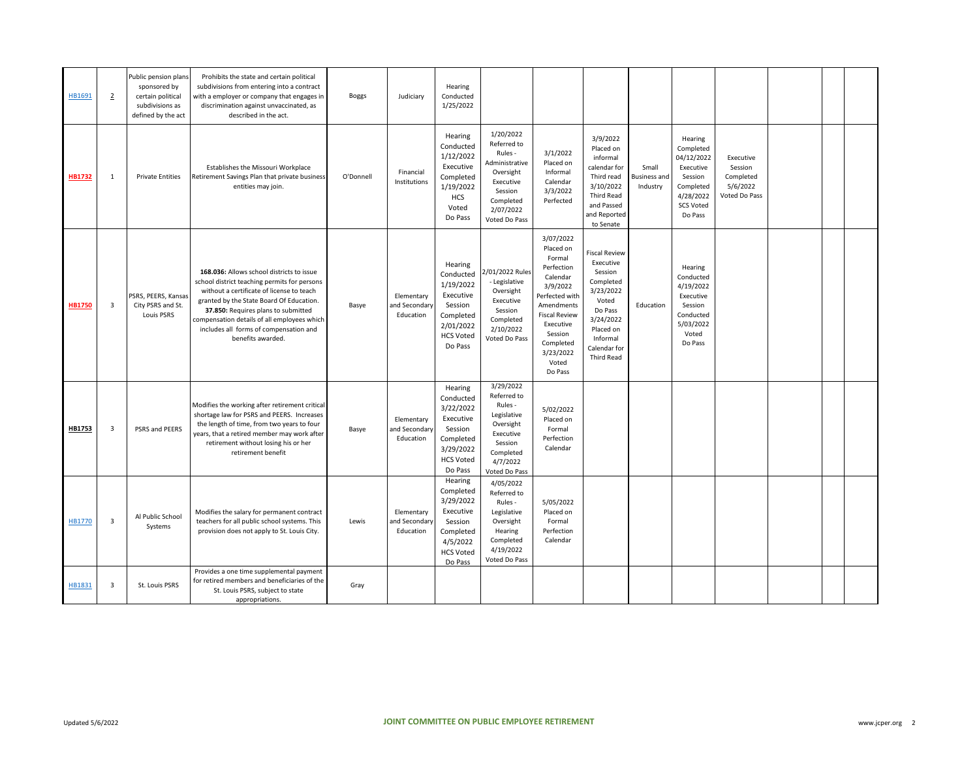| HB1691        | $\overline{2}$          | Public pension plans<br>sponsored by<br>certain political<br>subdivisions as<br>defined by the act | Prohibits the state and certain political<br>subdivisions from entering into a contract<br>with a employer or company that engages ir<br>discrimination against unvaccinated, as<br>described in the act.                                                                                                                               | <b>Boggs</b> | Judiciary                                | Hearing<br>Conducted<br>1/25/2022                                                                                  |                                                                                                                                       |                                                                                                                                                                                                      |                                                                                                                                                                |                                          |                                                                                                                     |                                                                |  |  |
|---------------|-------------------------|----------------------------------------------------------------------------------------------------|-----------------------------------------------------------------------------------------------------------------------------------------------------------------------------------------------------------------------------------------------------------------------------------------------------------------------------------------|--------------|------------------------------------------|--------------------------------------------------------------------------------------------------------------------|---------------------------------------------------------------------------------------------------------------------------------------|------------------------------------------------------------------------------------------------------------------------------------------------------------------------------------------------------|----------------------------------------------------------------------------------------------------------------------------------------------------------------|------------------------------------------|---------------------------------------------------------------------------------------------------------------------|----------------------------------------------------------------|--|--|
| <b>HB1732</b> | 1                       | <b>Private Entities</b>                                                                            | Establishes the Missouri Workplace<br>Retirement Savings Plan that private business<br>entities may join.                                                                                                                                                                                                                               | O'Donnell    | Financial<br>Institutions                | Hearing<br>Conducted<br>1/12/2022<br>Executive<br>Completed<br>1/19/2022<br><b>HCS</b><br>Voted<br>Do Pass         | 1/20/2022<br>Referred to<br>Rules -<br>Administrative<br>Oversight<br>Executive<br>Session<br>Completed<br>2/07/2022<br>Voted Do Pass | 3/1/2022<br>Placed on<br>Informal<br>Calendar<br>3/3/2022<br>Perfected                                                                                                                               | 3/9/2022<br>Placed on<br>informal<br>calendar for<br>Third read<br>3/10/2022<br><b>Third Read</b><br>and Passed<br>and Reported<br>to Senate                   | Small<br><b>Business and</b><br>Industry | Hearing<br>Completed<br>04/12/2022<br>Executive<br>Session<br>Completed<br>4/28/2022<br><b>SCS Voted</b><br>Do Pass | Executive<br>Session<br>Completed<br>5/6/2022<br>Voted Do Pass |  |  |
| <b>HB1750</b> | 3                       | PSRS, PEERS, Kansas<br>City PSRS and St.<br><b>Louis PSRS</b>                                      | 168.036: Allows school districts to issue<br>school district teaching permits for persons<br>without a certificate of license to teach<br>granted by the State Board Of Education.<br>37.850: Requires plans to submitted<br>compensation details of all employees which<br>includes all forms of compensation and<br>benefits awarded. | Basye        | Elementary<br>and Secondary<br>Education | Hearing<br>Conducted<br>1/19/2022<br>Executive<br>Session<br>Completed<br>2/01/2022<br><b>HCS Voted</b><br>Do Pass | 2/01/2022 Rules<br>- Legislative<br>Oversight<br>Executive<br>Session<br>Completed<br>2/10/2022<br>Voted Do Pass                      | 3/07/2022<br>Placed on<br>Formal<br>Perfection<br>Calendar<br>3/9/2022<br>Perfected with<br>Amendments<br><b>Fiscal Review</b><br>Executive<br>Session<br>Completed<br>3/23/2022<br>Voted<br>Do Pass | Fiscal Review<br>Executive<br>Session<br>Completed<br>3/23/2022<br>Voted<br>Do Pass<br>3/24/2022<br>Placed on<br>Informal<br>Calendar for<br><b>Third Read</b> | Education                                | Hearing<br>Conducted<br>4/19/2022<br>Executive<br>Session<br>Conducted<br>5/03/2022<br>Voted<br>Do Pass             |                                                                |  |  |
| HB1753        | $\overline{3}$          | PSRS and PEERS                                                                                     | Modifies the working after retirement critical<br>shortage law for PSRS and PEERS. Increases<br>the length of time, from two years to four<br>years, that a retired member may work after<br>retirement without losing his or her<br>retirement benefit                                                                                 | Basye        | Elementary<br>and Secondary<br>Education | Hearing<br>Conducted<br>3/22/2022<br>Executive<br>Session<br>Completed<br>3/29/2022<br><b>HCS Voted</b><br>Do Pass | 3/29/2022<br>Referred to<br>Rules -<br>Legislative<br>Oversight<br>Executive<br>Session<br>Completed<br>4/7/2022<br>Voted Do Pass     | 5/02/2022<br>Placed on<br>Formal<br>Perfection<br>Calendar                                                                                                                                           |                                                                                                                                                                |                                          |                                                                                                                     |                                                                |  |  |
| HB1770        | $\overline{\mathbf{3}}$ | Al Public School<br>Systems                                                                        | Modifies the salary for permanent contract<br>teachers for all public school systems. This<br>provision does not apply to St. Louis City.                                                                                                                                                                                               | Lewis        | Elementary<br>and Secondary<br>Education | Hearing<br>Completed<br>3/29/2022<br>Executive<br>Session<br>Completed<br>4/5/2022<br><b>HCS Voted</b><br>Do Pass  | 4/05/2022<br>Referred to<br>Rules -<br>Legislative<br>Oversight<br>Hearing<br>Completed<br>4/19/2022<br>Voted Do Pass                 | 5/05/2022<br>Placed on<br>Formal<br>Perfection<br>Calendar                                                                                                                                           |                                                                                                                                                                |                                          |                                                                                                                     |                                                                |  |  |
| HB1831        | $\overline{\mathbf{3}}$ | St. Louis PSRS                                                                                     | Provides a one time supplemental payment<br>for retired members and beneficiaries of the<br>St. Louis PSRS, subject to state<br>appropriations.                                                                                                                                                                                         | Gray         |                                          |                                                                                                                    |                                                                                                                                       |                                                                                                                                                                                                      |                                                                                                                                                                |                                          |                                                                                                                     |                                                                |  |  |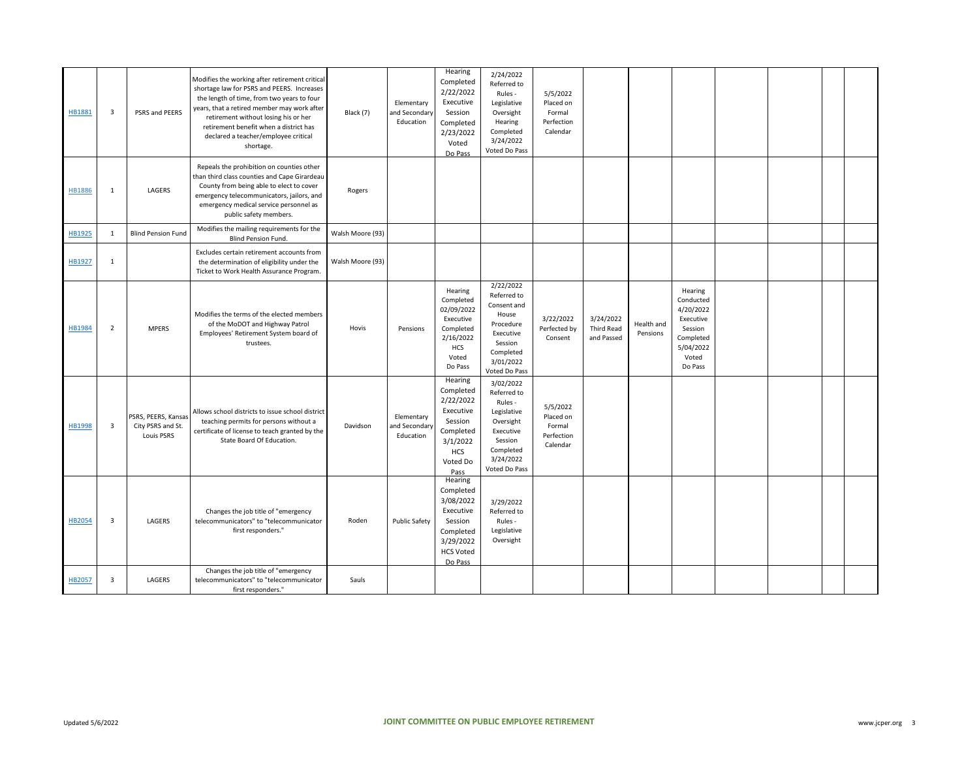| HB1881        | $\overline{\mathbf{3}}$ | PSRS and PEERS                                         | Modifies the working after retirement critical<br>shortage law for PSRS and PEERS. Increases<br>the length of time, from two years to four<br>years, that a retired member may work after<br>retirement without losing his or her<br>retirement benefit when a district has<br>declared a teacher/employee critical<br>shortage. | Black (7)        | Elementary<br>and Secondary<br>Education | Hearing<br>Completed<br>2/22/2022<br>Executive<br>Session<br>Completed<br>2/23/2022<br>Voted<br>Do Pass                   | 2/24/2022<br>Referred to<br>Rules -<br>Legislative<br>Oversight<br>Hearing<br>Completed<br>3/24/2022<br>Voted Do Pass              | 5/5/2022<br>Placed on<br>Formal<br>Perfection<br>Calendar |                                              |                        |                                                                                                         |  |  |
|---------------|-------------------------|--------------------------------------------------------|----------------------------------------------------------------------------------------------------------------------------------------------------------------------------------------------------------------------------------------------------------------------------------------------------------------------------------|------------------|------------------------------------------|---------------------------------------------------------------------------------------------------------------------------|------------------------------------------------------------------------------------------------------------------------------------|-----------------------------------------------------------|----------------------------------------------|------------------------|---------------------------------------------------------------------------------------------------------|--|--|
| HB1886        | $\mathbf{1}$            | LAGERS                                                 | Repeals the prohibition on counties other<br>than third class counties and Cape Girardeau<br>County from being able to elect to cover<br>emergency telecommunicators, jailors, and<br>emergency medical service personnel as<br>public safety members.                                                                           | Rogers           |                                          |                                                                                                                           |                                                                                                                                    |                                                           |                                              |                        |                                                                                                         |  |  |
| HB1925        | $\mathbf{1}$            | <b>Blind Pension Fund</b>                              | Modifies the mailing requirements for the<br><b>Blind Pension Fund.</b>                                                                                                                                                                                                                                                          | Walsh Moore (93) |                                          |                                                                                                                           |                                                                                                                                    |                                                           |                                              |                        |                                                                                                         |  |  |
| HB1927        | $\mathbf{1}$            |                                                        | Excludes certain retirement accounts from<br>the determination of eligibility under the<br>Ticket to Work Health Assurance Program.                                                                                                                                                                                              | Walsh Moore (93) |                                          |                                                                                                                           |                                                                                                                                    |                                                           |                                              |                        |                                                                                                         |  |  |
| HB1984        | $\overline{2}$          | <b>MPERS</b>                                           | Modifies the terms of the elected members<br>of the MoDOT and Highway Patrol<br>Employees' Retirement System board of<br>trustees.                                                                                                                                                                                               | Hovis            | Pensions                                 | Hearing<br>Completed<br>02/09/2022<br>Executive<br>Completed<br>2/16/2022<br>HCS<br>Voted<br>Do Pass                      | 2/22/2022<br>Referred to<br>Consent and<br>House<br>Procedure<br>Executive<br>Session<br>Completed<br>3/01/2022<br>Voted Do Pass   | 3/22/2022<br>Perfected by<br>Consent                      | 3/24/2022<br><b>Third Read</b><br>and Passed | Health and<br>Pensions | Hearing<br>Conducted<br>4/20/2022<br>Executive<br>Session<br>Completed<br>5/04/2022<br>Voted<br>Do Pass |  |  |
| <b>HB1998</b> | 3                       | PSRS, PEERS, Kansas<br>City PSRS and St.<br>Louis PSRS | Allows school districts to issue school district<br>teaching permits for persons without a<br>certificate of license to teach granted by the<br>State Board Of Education.                                                                                                                                                        | Davidson         | Elementary<br>and Secondary<br>Education | Hearing<br>Completed<br>2/22/2022<br>Executive<br>Session<br>Completed<br>3/1/2022<br><b>HCS</b><br>Voted Do<br>Pass      | 3/02/2022<br>Referred to<br>Rules -<br>Legislative<br>Oversight<br>Executive<br>Session<br>Completed<br>3/24/2022<br>Voted Do Pass | 5/5/2022<br>Placed on<br>Formal<br>Perfection<br>Calendar |                                              |                        |                                                                                                         |  |  |
| HB2054        | 3                       | LAGERS                                                 | Changes the job title of "emergency<br>telecommunicators" to "telecommunicator<br>first responders."                                                                                                                                                                                                                             | Roden            | <b>Public Safety</b>                     | <b>Hearing</b><br>Completed<br>3/08/2022<br>Executive<br>Session<br>Completed<br>3/29/2022<br><b>HCS Voted</b><br>Do Pass | 3/29/2022<br>Referred to<br>Rules -<br>Legislative<br>Oversight                                                                    |                                                           |                                              |                        |                                                                                                         |  |  |
| HB2057        | $\overline{\mathbf{3}}$ | LAGERS                                                 | Changes the job title of "emergency<br>telecommunicators" to "telecommunicator<br>first responders."                                                                                                                                                                                                                             | Sauls            |                                          |                                                                                                                           |                                                                                                                                    |                                                           |                                              |                        |                                                                                                         |  |  |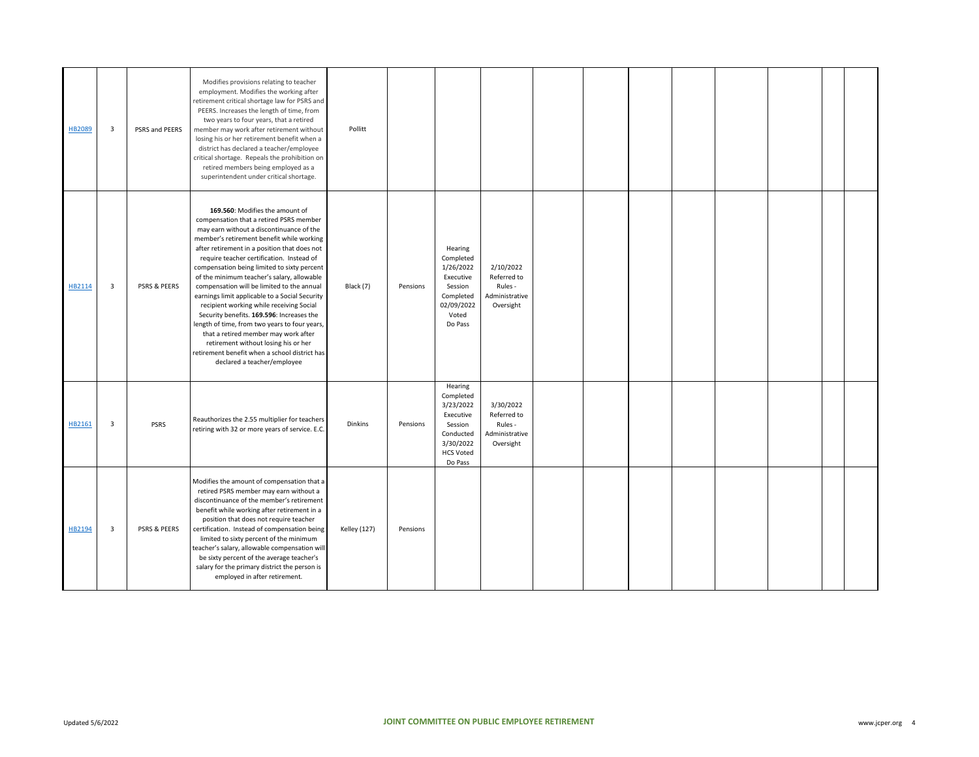| HB2089 | 3 | PSRS and PEERS          | Modifies provisions relating to teacher<br>employment. Modifies the working after<br>retirement critical shortage law for PSRS and<br>PEERS. Increases the length of time, from<br>two years to four years, that a retired<br>member may work after retirement without<br>losing his or her retirement benefit when a<br>district has declared a teacher/employee<br>critical shortage. Repeals the prohibition on<br>retired members being employed as a<br>superintendent under critical shortage.                                                                                                                                                                                                                                                                    | Pollitt             |          |                                                                                                                    |                                                                    |  |  |  |  |
|--------|---|-------------------------|-------------------------------------------------------------------------------------------------------------------------------------------------------------------------------------------------------------------------------------------------------------------------------------------------------------------------------------------------------------------------------------------------------------------------------------------------------------------------------------------------------------------------------------------------------------------------------------------------------------------------------------------------------------------------------------------------------------------------------------------------------------------------|---------------------|----------|--------------------------------------------------------------------------------------------------------------------|--------------------------------------------------------------------|--|--|--|--|
| HB2114 | 3 | PSRS & PEERS            | 169.560: Modifies the amount of<br>compensation that a retired PSRS member<br>may earn without a discontinuance of the<br>member's retirement benefit while working<br>after retirement in a position that does not<br>require teacher certification. Instead of<br>compensation being limited to sixty percent<br>of the minimum teacher's salary, allowable<br>compensation will be limited to the annual<br>earnings limit applicable to a Social Security<br>recipient working while receiving Social<br>Security benefits. 169.596: Increases the<br>length of time, from two years to four years,<br>that a retired member may work after<br>retirement without losing his or her<br>retirement benefit when a school district has<br>declared a teacher/employee | Black (7)           | Pensions | Hearing<br>Completed<br>1/26/2022<br>Executive<br>Session<br>Completed<br>02/09/2022<br>Voted<br>Do Pass           | 2/10/2022<br>Referred to<br>Rules -<br>Administrative<br>Oversight |  |  |  |  |
| HB2161 | 3 | <b>PSRS</b>             | Reauthorizes the 2.55 multiplier for teachers<br>retiring with 32 or more years of service. E.C.                                                                                                                                                                                                                                                                                                                                                                                                                                                                                                                                                                                                                                                                        | <b>Dinkins</b>      | Pensions | Hearing<br>Completed<br>3/23/2022<br>Executive<br>Session<br>Conducted<br>3/30/2022<br><b>HCS Voted</b><br>Do Pass | 3/30/2022<br>Referred to<br>Rules -<br>Administrative<br>Oversight |  |  |  |  |
| HB2194 | 3 | <b>PSRS &amp; PEERS</b> | Modifies the amount of compensation that a<br>retired PSRS member may earn without a<br>discontinuance of the member's retirement<br>benefit while working after retirement in a<br>position that does not require teacher<br>certification. Instead of compensation being<br>limited to sixty percent of the minimum<br>teacher's salary, allowable compensation will<br>be sixty percent of the average teacher's<br>salary for the primary district the person is<br>employed in after retirement.                                                                                                                                                                                                                                                                   | <b>Kelley (127)</b> | Pensions |                                                                                                                    |                                                                    |  |  |  |  |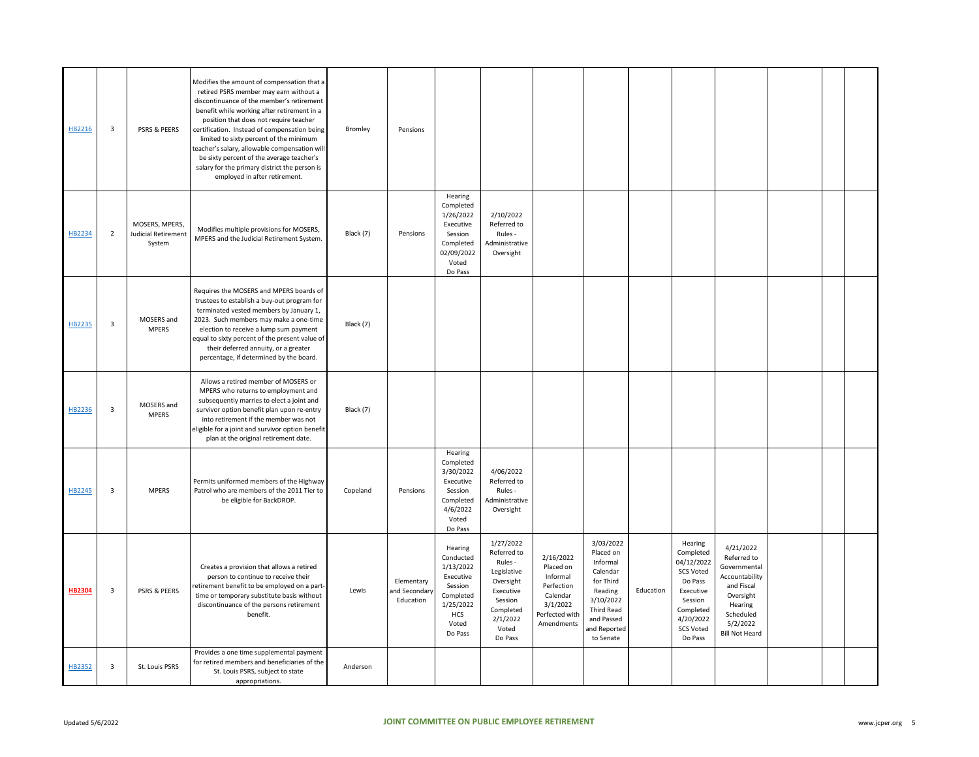| HB2216        | 3              | PSRS & PEERS                                           | Modifies the amount of compensation that a<br>retired PSRS member may earn without a<br>discontinuance of the member's retirement<br>benefit while working after retirement in a<br>position that does not require teacher<br>certification. Instead of compensation being<br>limited to sixty percent of the minimum<br>teacher's salary, allowable compensation will<br>be sixty percent of the average teacher's<br>salary for the primary district the person is<br>employed in after retirement. | Bromley   | Pensions                                 |                                                                                                                |                                                                                                                                      |                                                                                                          |                                                                                                                                              |           |                                                                                                                                                    |                                                                                                                                                    |  |  |
|---------------|----------------|--------------------------------------------------------|-------------------------------------------------------------------------------------------------------------------------------------------------------------------------------------------------------------------------------------------------------------------------------------------------------------------------------------------------------------------------------------------------------------------------------------------------------------------------------------------------------|-----------|------------------------------------------|----------------------------------------------------------------------------------------------------------------|--------------------------------------------------------------------------------------------------------------------------------------|----------------------------------------------------------------------------------------------------------|----------------------------------------------------------------------------------------------------------------------------------------------|-----------|----------------------------------------------------------------------------------------------------------------------------------------------------|----------------------------------------------------------------------------------------------------------------------------------------------------|--|--|
| HB2234        | $\overline{2}$ | MOSERS, MPERS,<br><b>Judicial Retirement</b><br>System | Modifies multiple provisions for MOSERS,<br>MPERS and the Judicial Retirement System.                                                                                                                                                                                                                                                                                                                                                                                                                 | Black (7) | Pensions                                 | Hearing<br>Completed<br>1/26/2022<br>Executive<br>Session<br>Completed<br>02/09/2022<br>Voted<br>Do Pass       | 2/10/2022<br>Referred to<br>Rules -<br>Administrative<br>Oversight                                                                   |                                                                                                          |                                                                                                                                              |           |                                                                                                                                                    |                                                                                                                                                    |  |  |
| HB2235        | 3              | MOSERS and<br><b>MPERS</b>                             | Requires the MOSERS and MPERS boards of<br>trustees to establish a buy-out program for<br>terminated vested members by January 1,<br>2023. Such members may make a one-time<br>election to receive a lump sum payment<br>equal to sixty percent of the present value of<br>their deferred annuity, or a greater<br>percentage, if determined by the board.                                                                                                                                            | Black (7) |                                          |                                                                                                                |                                                                                                                                      |                                                                                                          |                                                                                                                                              |           |                                                                                                                                                    |                                                                                                                                                    |  |  |
| HB2236        | 3              | MOSERS and<br><b>MPERS</b>                             | Allows a retired member of MOSERS or<br>MPERS who returns to employment and<br>subsequently marries to elect a joint and<br>survivor option benefit plan upon re-entry<br>into retirement if the member was not<br>eligible for a joint and survivor option benefit<br>plan at the original retirement date.                                                                                                                                                                                          | Black (7) |                                          |                                                                                                                |                                                                                                                                      |                                                                                                          |                                                                                                                                              |           |                                                                                                                                                    |                                                                                                                                                    |  |  |
| HB2245        | 3              | <b>MPERS</b>                                           | Permits uniformed members of the Highway<br>Patrol who are members of the 2011 Tier to<br>be eligible for BackDROP.                                                                                                                                                                                                                                                                                                                                                                                   | Copeland  | Pensions                                 | Hearing<br>Completed<br>3/30/2022<br>Executive<br>Session<br>Completed<br>4/6/2022<br>Voted<br>Do Pass         | 4/06/2022<br>Referred to<br>Rules -<br>Administrative<br>Oversight                                                                   |                                                                                                          |                                                                                                                                              |           |                                                                                                                                                    |                                                                                                                                                    |  |  |
| <b>HB2304</b> | 3              | PSRS & PEERS                                           | Creates a provision that allows a retired<br>person to continue to receive their<br>retirement benefit to be employed on a part-<br>time or temporary substitute basis without<br>discontinuance of the persons retirement<br>benefit.                                                                                                                                                                                                                                                                | Lewis     | Elementary<br>and Secondary<br>Education | Hearing<br>Conducted<br>1/13/2022<br>Executive<br>Session<br>Completed<br>1/25/2022<br>HCS<br>Voted<br>Do Pass | 1/27/2022<br>Referred to<br>Rules -<br>Legislative<br>Oversight<br>Executive<br>Session<br>Completed<br>2/1/2022<br>Voted<br>Do Pass | 2/16/2022<br>Placed on<br>Informal<br>Perfection<br>Calendar<br>3/1/2022<br>Perfected with<br>Amendments | 3/03/2022<br>Placed on<br>Informal<br>Calendar<br>for Third<br>Reading<br>3/10/2022<br>Third Read<br>and Passed<br>and Reported<br>to Senate | Education | Hearing<br>Completed<br>04/12/2022<br><b>SCS Voted</b><br>Do Pass<br>Executive<br>Session<br>Completed<br>4/20/2022<br><b>SCS Voted</b><br>Do Pass | 4/21/2022<br>Referred to<br>Governmental<br>Accountability<br>and Fiscal<br>Oversight<br>Hearing<br>Scheduled<br>5/2/2022<br><b>Bill Not Heard</b> |  |  |
| HB2352        | $\mathbf{3}$   | St. Louis PSRS                                         | Provides a one time supplemental payment<br>for retired members and beneficiaries of the<br>St. Louis PSRS, subject to state<br>appropriations.                                                                                                                                                                                                                                                                                                                                                       | Anderson  |                                          |                                                                                                                |                                                                                                                                      |                                                                                                          |                                                                                                                                              |           |                                                                                                                                                    |                                                                                                                                                    |  |  |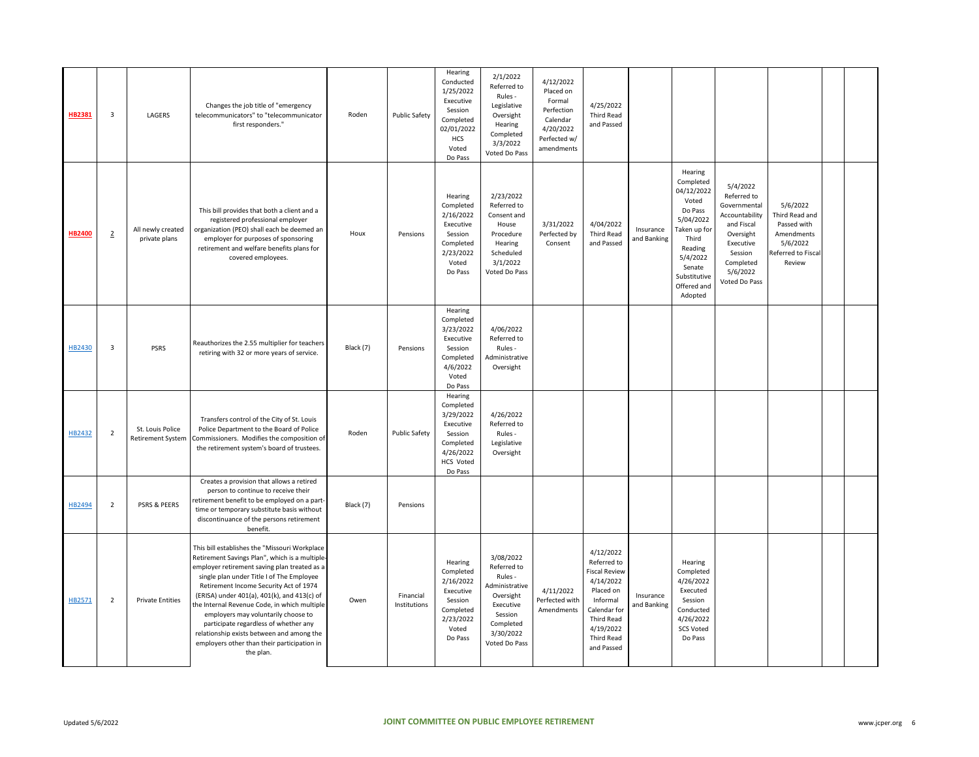| HB2381        | 3              | LAGERS                                       | Changes the job title of "emergency<br>telecommunicators" to "telecommunicator<br>first responders."                                                                                                                                                                                                                                                                                                                                                                                                                           | Roden     | <b>Public Safety</b>      | Hearing<br>Conducted<br>1/25/2022<br>Executive<br>Session<br>Completed<br>02/01/2022<br>HCS<br>Voted<br>Do Pass | 2/1/2022<br>Referred to<br>Rules -<br>Legislative<br>Oversight<br>Hearing<br>Completed<br>3/3/2022<br>Voted Do Pass                   | 4/12/2022<br>Placed on<br>Formal<br>Perfection<br>Calendar<br>4/20/2022<br>Perfected w/<br>amendments | 4/25/2022<br><b>Third Read</b><br>and Passed                                                                                                                                |                          |                                                                                                                                                                         |                                                                                                                                                        |                                                                                                     |  |
|---------------|----------------|----------------------------------------------|--------------------------------------------------------------------------------------------------------------------------------------------------------------------------------------------------------------------------------------------------------------------------------------------------------------------------------------------------------------------------------------------------------------------------------------------------------------------------------------------------------------------------------|-----------|---------------------------|-----------------------------------------------------------------------------------------------------------------|---------------------------------------------------------------------------------------------------------------------------------------|-------------------------------------------------------------------------------------------------------|-----------------------------------------------------------------------------------------------------------------------------------------------------------------------------|--------------------------|-------------------------------------------------------------------------------------------------------------------------------------------------------------------------|--------------------------------------------------------------------------------------------------------------------------------------------------------|-----------------------------------------------------------------------------------------------------|--|
| <b>HB2400</b> | $\overline{2}$ | All newly created<br>private plans           | This bill provides that both a client and a<br>registered professional employer<br>organization (PEO) shall each be deemed an<br>employer for purposes of sponsoring<br>retirement and welfare benefits plans for<br>covered employees.                                                                                                                                                                                                                                                                                        | Houx      | Pensions                  | Hearing<br>Completed<br>2/16/2022<br>Executive<br>Session<br>Completed<br>2/23/2022<br>Voted<br>Do Pass         | 2/23/2022<br>Referred to<br>Consent and<br>House<br>Procedure<br>Hearing<br>Scheduled<br>3/1/2022<br>Voted Do Pass                    | 3/31/2022<br>Perfected by<br>Consent                                                                  | 4/04/2022<br><b>Third Read</b><br>and Passed                                                                                                                                | Insurance<br>and Banking | Hearing<br>Completed<br>04/12/2022<br>Voted<br>Do Pass<br>5/04/2022<br>Taken up for<br>Third<br>Reading<br>5/4/2022<br>Senate<br>Substitutive<br>Offered and<br>Adopted | 5/4/2022<br>Referred to<br>Governmental<br>Accountability<br>and Fiscal<br>Oversight<br>Executive<br>Session<br>Completed<br>5/6/2022<br>Voted Do Pass | 5/6/2022<br>Third Read and<br>Passed with<br>Amendments<br>5/6/2022<br>Referred to Fiscal<br>Review |  |
| HB2430        | 3              | <b>PSRS</b>                                  | Reauthorizes the 2.55 multiplier for teachers<br>retiring with 32 or more years of service.                                                                                                                                                                                                                                                                                                                                                                                                                                    | Black (7) | Pensions                  | Hearing<br>Completed<br>3/23/2022<br>Executive<br>Session<br>Completed<br>4/6/2022<br>Voted<br>Do Pass          | 4/06/2022<br>Referred to<br>Rules -<br>Administrative<br>Oversight                                                                    |                                                                                                       |                                                                                                                                                                             |                          |                                                                                                                                                                         |                                                                                                                                                        |                                                                                                     |  |
| HB2432        | $\overline{2}$ | St. Louis Police<br><b>Retirement System</b> | Transfers control of the City of St. Louis<br>Police Department to the Board of Police<br>Commissioners. Modifies the composition of<br>the retirement system's board of trustees.                                                                                                                                                                                                                                                                                                                                             | Roden     | <b>Public Safety</b>      | Hearing<br>Completed<br>3/29/2022<br>Executive<br>Session<br>Completed<br>4/26/2022<br>HCS Voted<br>Do Pass     | 4/26/2022<br>Referred to<br>Rules -<br>Legislative<br>Oversight                                                                       |                                                                                                       |                                                                                                                                                                             |                          |                                                                                                                                                                         |                                                                                                                                                        |                                                                                                     |  |
| HB2494        | $\overline{2}$ | PSRS & PEERS                                 | Creates a provision that allows a retired<br>person to continue to receive their<br>retirement benefit to be employed on a part-<br>time or temporary substitute basis without<br>discontinuance of the persons retirement<br>benefit.                                                                                                                                                                                                                                                                                         | Black (7) | Pensions                  |                                                                                                                 |                                                                                                                                       |                                                                                                       |                                                                                                                                                                             |                          |                                                                                                                                                                         |                                                                                                                                                        |                                                                                                     |  |
| HB2571        | $\overline{2}$ | <b>Private Entities</b>                      | This bill establishes the "Missouri Workplace<br>Retirement Savings Plan", which is a multiple-<br>employer retirement saving plan treated as a<br>single plan under Title I of The Employee<br>Retirement Income Security Act of 1974<br>(ERISA) under 401(a), 401(k), and 413(c) of<br>the Internal Revenue Code, in which multiple<br>employers may voluntarily choose to<br>participate regardless of whether any<br>relationship exists between and among the<br>employers other than their participation in<br>the plan. | Owen      | Financial<br>Institutions | Hearing<br>Completed<br>2/16/2022<br>Executive<br>Session<br>Completed<br>2/23/2022<br>Voted<br>Do Pass         | 3/08/2022<br>Referred to<br>Rules -<br>Administrative<br>Oversight<br>Executive<br>Session<br>Completed<br>3/30/2022<br>Voted Do Pass | 4/11/2022<br>Perfected with<br>Amendments                                                             | 4/12/2022<br>Referred to<br><b>Fiscal Review</b><br>4/14/2022<br>Placed on<br>Informal<br>Calendar for<br><b>Third Read</b><br>4/19/2022<br><b>Third Read</b><br>and Passed | Insurance<br>and Banking | Hearing<br>Completed<br>4/26/2022<br>Executed<br>Session<br>Conducted<br>4/26/2022<br><b>SCS Voted</b><br>Do Pass                                                       |                                                                                                                                                        |                                                                                                     |  |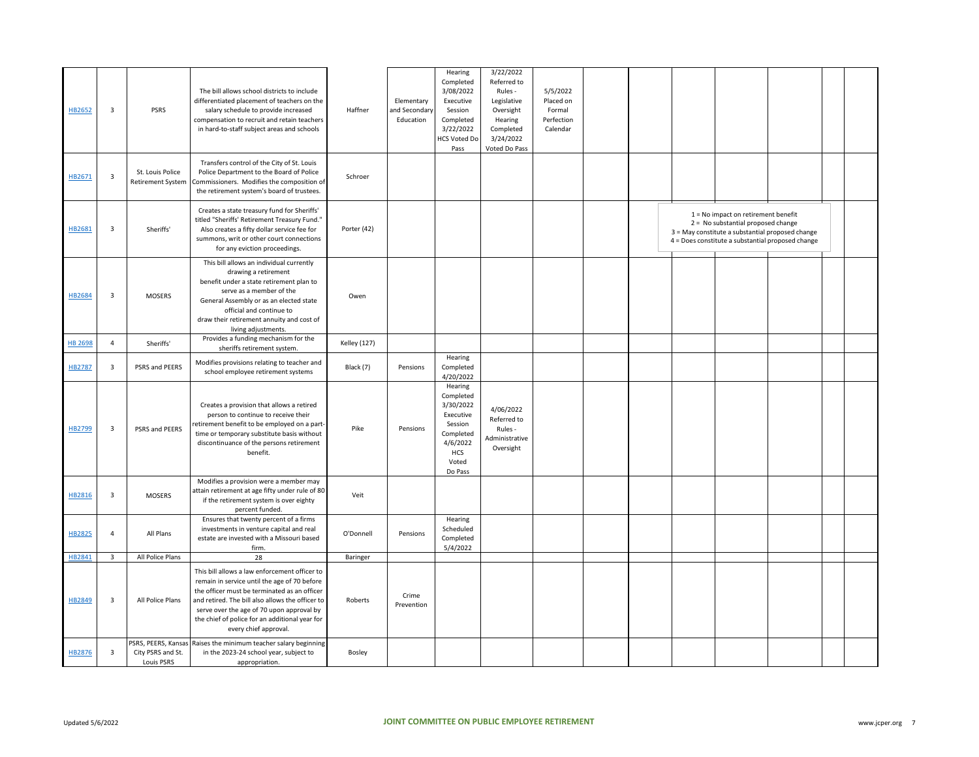| HB2652         | 3                       | <b>PSRS</b>                                  | The bill allows school districts to include<br>differentiated placement of teachers on the<br>salary schedule to provide increased<br>compensation to recruit and retain teachers<br>in hard-to-staff subject areas and schools                                                                                           | Haffner             | Elementary<br>and Secondary<br>Education | Hearing<br>Completed<br>3/08/2022<br>Executive<br>Session<br>Completed<br>3/22/2022<br><b>HCS Voted Do</b><br>Pass | 3/22/2022<br>Referred to<br>Rules -<br>Legislative<br>Oversight<br>Hearing<br>Completed<br>3/24/2022<br>Voted Do Pass | 5/5/2022<br>Placed on<br>Formal<br>Perfection<br>Calendar |  |                                                                                                                                                                                    |  |  |
|----------------|-------------------------|----------------------------------------------|---------------------------------------------------------------------------------------------------------------------------------------------------------------------------------------------------------------------------------------------------------------------------------------------------------------------------|---------------------|------------------------------------------|--------------------------------------------------------------------------------------------------------------------|-----------------------------------------------------------------------------------------------------------------------|-----------------------------------------------------------|--|------------------------------------------------------------------------------------------------------------------------------------------------------------------------------------|--|--|
| HB2671         | $\overline{\mathbf{3}}$ | St. Louis Police<br><b>Retirement System</b> | Transfers control of the City of St. Louis<br>Police Department to the Board of Police<br>Commissioners. Modifies the composition of<br>the retirement system's board of trustees.                                                                                                                                        | Schroer             |                                          |                                                                                                                    |                                                                                                                       |                                                           |  |                                                                                                                                                                                    |  |  |
| HB2681         | 3                       | Sheriffs'                                    | Creates a state treasury fund for Sheriffs'<br>titled "Sheriffs' Retirement Treasury Fund."<br>Also creates a fifty dollar service fee for<br>summons, writ or other court connections<br>for any eviction proceedings.                                                                                                   | Porter (42)         |                                          |                                                                                                                    |                                                                                                                       |                                                           |  | 1 = No impact on retirement benefit<br>2 = No substantial proposed change<br>3 = May constitute a substantial proposed change<br>4 = Does constitute a substantial proposed change |  |  |
| HB2684         | $\mathbf{3}$            | <b>MOSERS</b>                                | This bill allows an individual currently<br>drawing a retirement<br>benefit under a state retirement plan to<br>serve as a member of the<br>General Assembly or as an elected state<br>official and continue to<br>draw their retirement annuity and cost of<br>living adjustments.                                       | Owen                |                                          |                                                                                                                    |                                                                                                                       |                                                           |  |                                                                                                                                                                                    |  |  |
| <b>HB 2698</b> | $\overline{4}$          | Sheriffs'                                    | Provides a funding mechanism for the<br>sheriffs retirement system.                                                                                                                                                                                                                                                       | <b>Kelley</b> (127) |                                          |                                                                                                                    |                                                                                                                       |                                                           |  |                                                                                                                                                                                    |  |  |
| HB2787         | 3                       | PSRS and PEERS                               | Modifies provisions relating to teacher and<br>school employee retirement systems                                                                                                                                                                                                                                         | Black (7)           | Pensions                                 | Hearing<br>Completed<br>4/20/2022                                                                                  |                                                                                                                       |                                                           |  |                                                                                                                                                                                    |  |  |
| HB2799         | 3                       | PSRS and PEERS                               | Creates a provision that allows a retired<br>person to continue to receive their<br>retirement benefit to be employed on a part-<br>time or temporary substitute basis without<br>discontinuance of the persons retirement<br>benefit.                                                                                    | Pike                | Pensions                                 | Hearing<br>Completed<br>3/30/2022<br>Executive<br>Session<br>Completed<br>4/6/2022<br>HCS<br>Voted<br>Do Pass      | 4/06/2022<br>Referred to<br>Rules -<br>Administrative<br>Oversight                                                    |                                                           |  |                                                                                                                                                                                    |  |  |
| HB2816         | $\overline{3}$          | <b>MOSERS</b>                                | Modifies a provision were a member may<br>attain retirement at age fifty under rule of 80<br>if the retirement system is over eighty<br>percent funded.                                                                                                                                                                   | Veit                |                                          |                                                                                                                    |                                                                                                                       |                                                           |  |                                                                                                                                                                                    |  |  |
| HB2825         | $\overline{4}$          | All Plans                                    | Ensures that twenty percent of a firms<br>investments in venture capital and real<br>estate are invested with a Missouri based<br>firm.                                                                                                                                                                                   | O'Donnell           | Pensions                                 | Hearing<br>Scheduled<br>Completed<br>5/4/2022                                                                      |                                                                                                                       |                                                           |  |                                                                                                                                                                                    |  |  |
| HB2841         | $\overline{3}$          | All Police Plans                             | 28                                                                                                                                                                                                                                                                                                                        | Baringer            |                                          |                                                                                                                    |                                                                                                                       |                                                           |  |                                                                                                                                                                                    |  |  |
| HB2849         | 3                       | All Police Plans                             | This bill allows a law enforcement officer to<br>remain in service until the age of 70 before<br>the officer must be terminated as an officer<br>and retired. The bill also allows the officer to<br>serve over the age of 70 upon approval by<br>the chief of police for an additional year for<br>every chief approval. | Roberts             | Crime<br>Prevention                      |                                                                                                                    |                                                                                                                       |                                                           |  |                                                                                                                                                                                    |  |  |
| HB2876         | 3                       | City PSRS and St.<br>Louis PSRS              | PSRS, PEERS, Kansas Raises the minimum teacher salary beginning<br>in the 2023-24 school year, subject to<br>appropriation.                                                                                                                                                                                               | Bosley              |                                          |                                                                                                                    |                                                                                                                       |                                                           |  |                                                                                                                                                                                    |  |  |